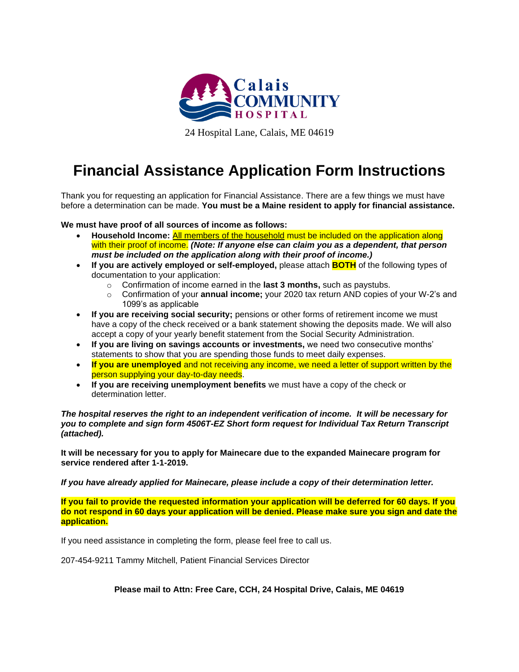

24 Hospital Lane, Calais, ME 04619

## **Financial Assistance Application Form Instructions**

Thank you for requesting an application for Financial Assistance. There are a few things we must have before a determination can be made. **You must be a Maine resident to apply for financial assistance.**

**We must have proof of all sources of income as follows:**

- **Household Income:** All members of the household must be included on the application along with their proof of income. *(Note: If anyone else can claim you as a dependent, that person must be included on the application along with their proof of income.)*
- **If you are actively employed or self-employed,** please attach **BOTH** of the following types of documentation to your application:
	- o Confirmation of income earned in the **last 3 months,** such as paystubs.
	- o Confirmation of your **annual income;** your 2020 tax return AND copies of your W-2's and 1099's as applicable
- If you are receiving social security; pensions or other forms of retirement income we must have a copy of the check received or a bank statement showing the deposits made. We will also accept a copy of your yearly benefit statement from the Social Security Administration.
- **If you are living on savings accounts or investments,** we need two consecutive months' statements to show that you are spending those funds to meet daily expenses.
- **If you are unemployed** and not receiving any income, we need a letter of support written by the person supplying your day-to-day needs.
- **If you are receiving unemployment benefits** we must have a copy of the check or determination letter

*The hospital reserves the right to an independent verification of income. It will be necessary for you to complete and sign form 4506T-EZ Short form request for Individual Tax Return Transcript (attached).*

**It will be necessary for you to apply for Mainecare due to the expanded Mainecare program for service rendered after 1-1-2019.**

*If you have already applied for Mainecare, please include a copy of their determination letter.*

**If you fail to provide the requested information your application will be deferred for 60 days. If you do not respond in 60 days your application will be denied. Please make sure you sign and date the application.**

If you need assistance in completing the form, please feel free to call us.

207-454-9211 Tammy Mitchell, Patient Financial Services Director

**Please mail to Attn: Free Care, CCH, 24 Hospital Drive, Calais, ME 04619**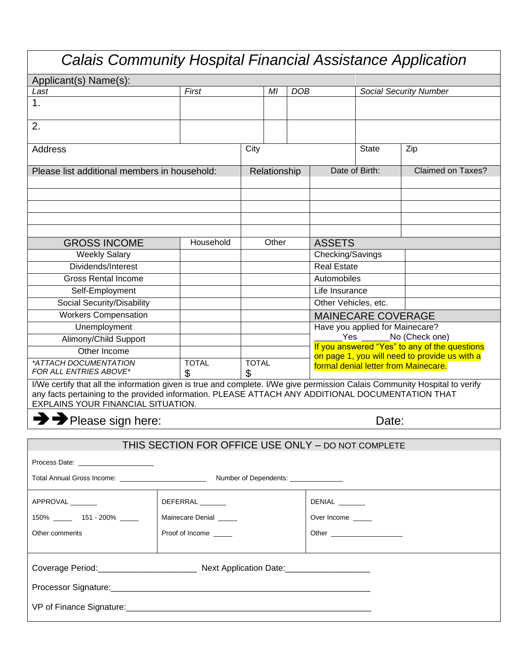| <b>Calais Community Hospital Financial Assistance Application</b>                                                                                                                                                                                                     |  |                                                    |                   |    |                  |                                                                                                                                                                                                                                |                               |                                                                                                |  |
|-----------------------------------------------------------------------------------------------------------------------------------------------------------------------------------------------------------------------------------------------------------------------|--|----------------------------------------------------|-------------------|----|------------------|--------------------------------------------------------------------------------------------------------------------------------------------------------------------------------------------------------------------------------|-------------------------------|------------------------------------------------------------------------------------------------|--|
| Applicant(s) Name(s):                                                                                                                                                                                                                                                 |  |                                                    |                   |    |                  |                                                                                                                                                                                                                                |                               |                                                                                                |  |
| Last                                                                                                                                                                                                                                                                  |  | First                                              |                   | MI | DOB              |                                                                                                                                                                                                                                | <b>Social Security Number</b> |                                                                                                |  |
| 1.                                                                                                                                                                                                                                                                    |  |                                                    |                   |    |                  |                                                                                                                                                                                                                                |                               |                                                                                                |  |
| 2.                                                                                                                                                                                                                                                                    |  |                                                    |                   |    |                  |                                                                                                                                                                                                                                |                               |                                                                                                |  |
| <b>Address</b>                                                                                                                                                                                                                                                        |  |                                                    | City              |    |                  | <b>State</b>                                                                                                                                                                                                                   | Zip                           |                                                                                                |  |
| Please list additional members in household:                                                                                                                                                                                                                          |  |                                                    | Relationship      |    | Date of Birth:   | <b>Claimed on Taxes?</b>                                                                                                                                                                                                       |                               |                                                                                                |  |
|                                                                                                                                                                                                                                                                       |  |                                                    |                   |    |                  |                                                                                                                                                                                                                                |                               |                                                                                                |  |
|                                                                                                                                                                                                                                                                       |  |                                                    |                   |    |                  |                                                                                                                                                                                                                                |                               |                                                                                                |  |
| <b>GROSS INCOME</b>                                                                                                                                                                                                                                                   |  | Household                                          | Other             |    | <b>ASSETS</b>    |                                                                                                                                                                                                                                |                               |                                                                                                |  |
| <b>Weekly Salary</b>                                                                                                                                                                                                                                                  |  |                                                    |                   |    | Checking/Savings |                                                                                                                                                                                                                                |                               |                                                                                                |  |
| Dividends/Interest                                                                                                                                                                                                                                                    |  |                                                    |                   |    |                  | <b>Real Estate</b>                                                                                                                                                                                                             |                               |                                                                                                |  |
| <b>Gross Rental Income</b>                                                                                                                                                                                                                                            |  |                                                    |                   |    | Automobiles      |                                                                                                                                                                                                                                |                               |                                                                                                |  |
| Self-Employment                                                                                                                                                                                                                                                       |  |                                                    |                   |    |                  | Life Insurance                                                                                                                                                                                                                 |                               |                                                                                                |  |
| Social Security/Disability                                                                                                                                                                                                                                            |  |                                                    |                   |    |                  | Other Vehicles, etc.                                                                                                                                                                                                           |                               |                                                                                                |  |
| <b>Workers Compensation</b>                                                                                                                                                                                                                                           |  |                                                    |                   |    |                  |                                                                                                                                                                                                                                | <b>MAINECARE COVERAGE</b>     |                                                                                                |  |
| Unemployment                                                                                                                                                                                                                                                          |  |                                                    |                   |    |                  | Have you applied for Mainecare?                                                                                                                                                                                                |                               |                                                                                                |  |
| Alimony/Child Support                                                                                                                                                                                                                                                 |  |                                                    |                   |    |                  |                                                                                                                                                                                                                                |                               | Yes _______No (Check one)                                                                      |  |
| Other Income                                                                                                                                                                                                                                                          |  |                                                    |                   |    |                  |                                                                                                                                                                                                                                |                               | If you answered "Yes" to any of the questions<br>on page 1, you will need to provide us with a |  |
| *ATTACH DOCUMENTATION<br><b>FOR ALL ENTRIES ABOVE*</b>                                                                                                                                                                                                                |  | <b>TOTAL</b><br>\$                                 | <b>TOTAL</b><br>S |    |                  | formal denial letter from Mainecare.                                                                                                                                                                                           |                               |                                                                                                |  |
| I/We certify that all the information given is true and complete. I/We give permission Calais Community Hospital to verify<br>any facts pertaining to the provided information. PLEASE ATTACH ANY ADDITIONAL DOCUMENTATION THAT<br>EXPLAINS YOUR FINANCIAL SITUATION. |  |                                                    |                   |    |                  |                                                                                                                                                                                                                                |                               |                                                                                                |  |
| Please sign here:<br>Date:                                                                                                                                                                                                                                            |  |                                                    |                   |    |                  |                                                                                                                                                                                                                                |                               |                                                                                                |  |
|                                                                                                                                                                                                                                                                       |  | THIS SECTION FOR OFFICE USE ONLY - DO NOT COMPLETE |                   |    |                  |                                                                                                                                                                                                                                |                               |                                                                                                |  |
| Process Date: Note: Note: Note: Note: Note: Note: Note: Note: Note: Note: Note: Note: Note: Note: No                                                                                                                                                                  |  |                                                    |                   |    |                  |                                                                                                                                                                                                                                |                               |                                                                                                |  |
|                                                                                                                                                                                                                                                                       |  |                                                    |                   |    |                  |                                                                                                                                                                                                                                |                               |                                                                                                |  |
| APPROVAL                                                                                                                                                                                                                                                              |  | DEFERRAL                                           |                   |    |                  | DENIAL ______                                                                                                                                                                                                                  |                               |                                                                                                |  |
| 150% ______ 151 - 200% _____                                                                                                                                                                                                                                          |  | Mainecare Denial                                   |                   |    |                  | Over Income                                                                                                                                                                                                                    |                               |                                                                                                |  |
| Other comments                                                                                                                                                                                                                                                        |  | Proof of Income                                    |                   |    |                  | Other the contract of the contract of the contract of the contract of the contract of the contract of the contract of the contract of the contract of the contract of the contract of the contract of the contract of the cont |                               |                                                                                                |  |
|                                                                                                                                                                                                                                                                       |  |                                                    |                   |    |                  |                                                                                                                                                                                                                                |                               |                                                                                                |  |
|                                                                                                                                                                                                                                                                       |  |                                                    |                   |    |                  |                                                                                                                                                                                                                                |                               |                                                                                                |  |
|                                                                                                                                                                                                                                                                       |  |                                                    |                   |    |                  |                                                                                                                                                                                                                                |                               |                                                                                                |  |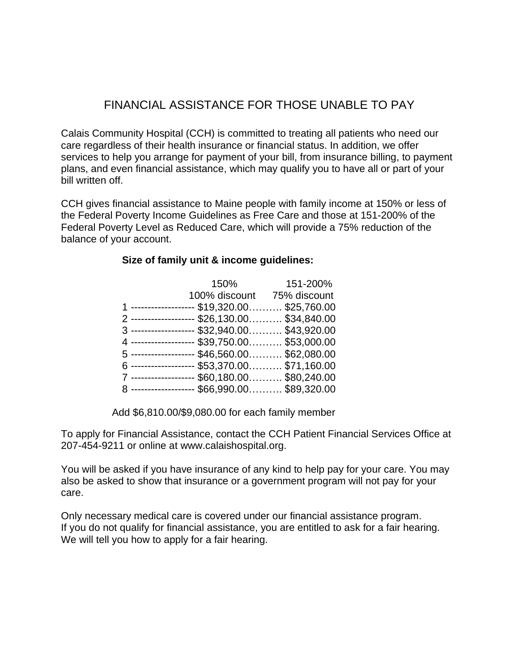## FINANCIAL ASSISTANCE FOR THOSE UNABLE TO PAY

Calais Community Hospital (CCH) is committed to treating all patients who need our care regardless of their health insurance or financial status. In addition, we offer services to help you arrange for payment of your bill, from insurance billing, to payment plans, and even financial assistance, which may qualify you to have all or part of your bill written off.

CCH gives financial assistance to Maine people with family income at 150% or less of the Federal Poverty Income Guidelines as Free Care and those at 151-200% of the Federal Poverty Level as Reduced Care, which will provide a 75% reduction of the balance of your account.

## **Size of family unit & income guidelines:**

|                                               | 150%                       | 151-200% |  |  |
|-----------------------------------------------|----------------------------|----------|--|--|
|                                               | 100% discount 75% discount |          |  |  |
| 1 ------------------ \$19,320.00 \$25,760.00  |                            |          |  |  |
| 2 ------------------ \$26,130.00 \$34,840.00  |                            |          |  |  |
| 3 ------------------- \$32,940.00 \$43,920.00 |                            |          |  |  |
| 4 ------------------ \$39,750.00 \$53,000.00  |                            |          |  |  |
| 5 ------------------ \$46,560.00 \$62,080.00  |                            |          |  |  |
| 6 ------------------ \$53,370.00 \$71,160.00  |                            |          |  |  |
| 7 ------------------ \$60,180.00 \$80,240.00  |                            |          |  |  |
| 8 ------------------ \$66,990.00 \$89,320.00  |                            |          |  |  |

Add \$6,810.00/\$9,080.00 for each family member

To apply for Financial Assistance, contact the CCH Patient Financial Services Office at 207-454-9211 or online at www.calaishospital.org.

You will be asked if you have insurance of any kind to help pay for your care. You may also be asked to show that insurance or a government program will not pay for your care.

Only necessary medical care is covered under our financial assistance program. If you do not qualify for financial assistance, you are entitled to ask for a fair hearing. We will tell you how to apply for a fair hearing.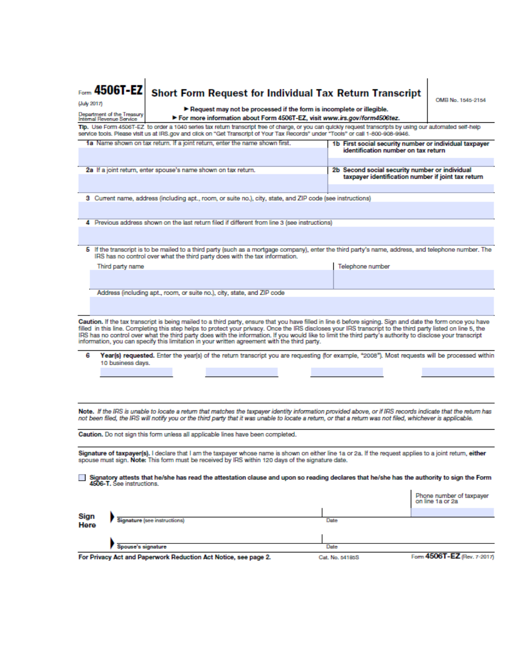| Form 4506T-EZ<br>(July 2017)                                                                                                                                                                                                                                                                                                                                                                                                                                                                                                                                                                                                                                                                                                                     | <b>Short Form Request for Individual Tax Return Transcript</b><br>OMB No. 1545-2154                                                                                                                                              |                              |                                                                                                            |                                                                                                      |                                                                                                                                                     |                                              |  |  |
|--------------------------------------------------------------------------------------------------------------------------------------------------------------------------------------------------------------------------------------------------------------------------------------------------------------------------------------------------------------------------------------------------------------------------------------------------------------------------------------------------------------------------------------------------------------------------------------------------------------------------------------------------------------------------------------------------------------------------------------------------|----------------------------------------------------------------------------------------------------------------------------------------------------------------------------------------------------------------------------------|------------------------------|------------------------------------------------------------------------------------------------------------|------------------------------------------------------------------------------------------------------|-----------------------------------------------------------------------------------------------------------------------------------------------------|----------------------------------------------|--|--|
|                                                                                                                                                                                                                                                                                                                                                                                                                                                                                                                                                                                                                                                                                                                                                  | $\blacktriangleright$ Request may not be processed if the form is incomplete or illegible.<br>Department of the Treasury<br>For more information about Form 4506T-EZ, visit www.irs.gov/form4506tez.<br>Internal Revenue Service |                              |                                                                                                            |                                                                                                      |                                                                                                                                                     |                                              |  |  |
| Tip. Use Form 4506T-EZ to order a 1040 series tax return transcript free of charge, or you can quickly request transcripts by using our automated self-help<br>service tools. Please visit us at IRS.gov and click on "Get Transcript of Your Tax Records" under "Tools" or call 1-800-908-9946.                                                                                                                                                                                                                                                                                                                                                                                                                                                 |                                                                                                                                                                                                                                  |                              |                                                                                                            |                                                                                                      |                                                                                                                                                     |                                              |  |  |
|                                                                                                                                                                                                                                                                                                                                                                                                                                                                                                                                                                                                                                                                                                                                                  |                                                                                                                                                                                                                                  |                              | 1a Name shown on tax return. If a joint return, enter the name shown first.                                |                                                                                                      | 1b First social security number or individual taxpayer<br>identification number on tax return                                                       |                                              |  |  |
| 2a If a joint return, enter spouse's name shown on tax return.                                                                                                                                                                                                                                                                                                                                                                                                                                                                                                                                                                                                                                                                                   |                                                                                                                                                                                                                                  |                              |                                                                                                            | 2b Second social security number or individual<br>taxpayer identification number if joint tax return |                                                                                                                                                     |                                              |  |  |
|                                                                                                                                                                                                                                                                                                                                                                                                                                                                                                                                                                                                                                                                                                                                                  |                                                                                                                                                                                                                                  |                              | 3 Current name, address (including apt., room, or suite no.), city, state, and ZIP code (see instructions) |                                                                                                      |                                                                                                                                                     |                                              |  |  |
|                                                                                                                                                                                                                                                                                                                                                                                                                                                                                                                                                                                                                                                                                                                                                  |                                                                                                                                                                                                                                  |                              |                                                                                                            |                                                                                                      |                                                                                                                                                     |                                              |  |  |
|                                                                                                                                                                                                                                                                                                                                                                                                                                                                                                                                                                                                                                                                                                                                                  |                                                                                                                                                                                                                                  |                              | 4 Previous address shown on the last return filed if different from line 3 (see instructions)              |                                                                                                      |                                                                                                                                                     |                                              |  |  |
|                                                                                                                                                                                                                                                                                                                                                                                                                                                                                                                                                                                                                                                                                                                                                  |                                                                                                                                                                                                                                  |                              |                                                                                                            |                                                                                                      |                                                                                                                                                     |                                              |  |  |
|                                                                                                                                                                                                                                                                                                                                                                                                                                                                                                                                                                                                                                                                                                                                                  |                                                                                                                                                                                                                                  |                              | IRS has no control over what the third party does with the tax information.                                |                                                                                                      | 5 If the transcript is to be mailed to a third party (such as a mortgage company), enter the third party's name, address, and telephone number. The |                                              |  |  |
|                                                                                                                                                                                                                                                                                                                                                                                                                                                                                                                                                                                                                                                                                                                                                  | Third party name                                                                                                                                                                                                                 |                              |                                                                                                            |                                                                                                      | Telephone number                                                                                                                                    |                                              |  |  |
|                                                                                                                                                                                                                                                                                                                                                                                                                                                                                                                                                                                                                                                                                                                                                  |                                                                                                                                                                                                                                  |                              |                                                                                                            |                                                                                                      |                                                                                                                                                     |                                              |  |  |
|                                                                                                                                                                                                                                                                                                                                                                                                                                                                                                                                                                                                                                                                                                                                                  |                                                                                                                                                                                                                                  |                              | Address (including apt., room, or suite no.), city, state, and ZIP code                                    |                                                                                                      |                                                                                                                                                     |                                              |  |  |
|                                                                                                                                                                                                                                                                                                                                                                                                                                                                                                                                                                                                                                                                                                                                                  |                                                                                                                                                                                                                                  |                              |                                                                                                            |                                                                                                      |                                                                                                                                                     |                                              |  |  |
| Caution. If the tax transcript is being mailed to a third party, ensure that you have filled in line 6 before signing. Sign and date the form once you have<br>filled in this line. Completing this step helps to protect your privacy. Once the IRS discloses your IRS transcript to the third party listed on line 5, the<br>IRS has no control over what the third party does with the information. If you would like to limit the third party's authority to disclose your transcript<br>information, you can specify this limitation in your written agreement with the third party.<br>6<br>Year(s) requested. Enter the year(s) of the return transcript you are requesting (for example, "2008"). Most requests will be processed within |                                                                                                                                                                                                                                  |                              |                                                                                                            |                                                                                                      |                                                                                                                                                     |                                              |  |  |
|                                                                                                                                                                                                                                                                                                                                                                                                                                                                                                                                                                                                                                                                                                                                                  | 10 business days.                                                                                                                                                                                                                |                              |                                                                                                            |                                                                                                      |                                                                                                                                                     |                                              |  |  |
|                                                                                                                                                                                                                                                                                                                                                                                                                                                                                                                                                                                                                                                                                                                                                  |                                                                                                                                                                                                                                  |                              |                                                                                                            |                                                                                                      |                                                                                                                                                     |                                              |  |  |
|                                                                                                                                                                                                                                                                                                                                                                                                                                                                                                                                                                                                                                                                                                                                                  |                                                                                                                                                                                                                                  |                              |                                                                                                            |                                                                                                      |                                                                                                                                                     |                                              |  |  |
| Note. If the IRS is unable to locate a return that matches the taxpayer identity information provided above, or if IRS records indicate that the return has<br>not been filed, the IRS will notify you or the third party that it was unable to locate a return, or that a return was not filed, whichever is applicable.                                                                                                                                                                                                                                                                                                                                                                                                                        |                                                                                                                                                                                                                                  |                              |                                                                                                            |                                                                                                      |                                                                                                                                                     |                                              |  |  |
| Caution. Do not sign this form unless all applicable lines have been completed.                                                                                                                                                                                                                                                                                                                                                                                                                                                                                                                                                                                                                                                                  |                                                                                                                                                                                                                                  |                              |                                                                                                            |                                                                                                      |                                                                                                                                                     |                                              |  |  |
| Signature of taxpayer(s). I declare that I am the taxpayer whose name is shown on either line 1a or 2a. If the request applies to a joint return, either<br>spouse must sign. Note: This form must be received by IRS within 120 days of the signature date.                                                                                                                                                                                                                                                                                                                                                                                                                                                                                     |                                                                                                                                                                                                                                  |                              |                                                                                                            |                                                                                                      |                                                                                                                                                     |                                              |  |  |
| Signatory attests that he/she has read the attestation clause and upon so reading declares that he/she has the authority to sign the Form<br>4506-T. See instructions.                                                                                                                                                                                                                                                                                                                                                                                                                                                                                                                                                                           |                                                                                                                                                                                                                                  |                              |                                                                                                            |                                                                                                      |                                                                                                                                                     |                                              |  |  |
|                                                                                                                                                                                                                                                                                                                                                                                                                                                                                                                                                                                                                                                                                                                                                  |                                                                                                                                                                                                                                  |                              |                                                                                                            |                                                                                                      |                                                                                                                                                     | Phone number of taxpayer<br>on line 1a or 2a |  |  |
| Sign                                                                                                                                                                                                                                                                                                                                                                                                                                                                                                                                                                                                                                                                                                                                             |                                                                                                                                                                                                                                  | Signature (see instructions) |                                                                                                            |                                                                                                      | Date                                                                                                                                                |                                              |  |  |
| Here                                                                                                                                                                                                                                                                                                                                                                                                                                                                                                                                                                                                                                                                                                                                             |                                                                                                                                                                                                                                  |                              |                                                                                                            |                                                                                                      |                                                                                                                                                     |                                              |  |  |
|                                                                                                                                                                                                                                                                                                                                                                                                                                                                                                                                                                                                                                                                                                                                                  |                                                                                                                                                                                                                                  |                              |                                                                                                            |                                                                                                      |                                                                                                                                                     |                                              |  |  |
|                                                                                                                                                                                                                                                                                                                                                                                                                                                                                                                                                                                                                                                                                                                                                  | Spouse's signature                                                                                                                                                                                                               |                              | For Privacy Act and Paperwork Reduction Act Notice, see page 2.                                            |                                                                                                      | Date<br>Cat. No. 54185S                                                                                                                             | Form 4506T-EZ (Rev. 7-2017)                  |  |  |
|                                                                                                                                                                                                                                                                                                                                                                                                                                                                                                                                                                                                                                                                                                                                                  |                                                                                                                                                                                                                                  |                              |                                                                                                            |                                                                                                      |                                                                                                                                                     |                                              |  |  |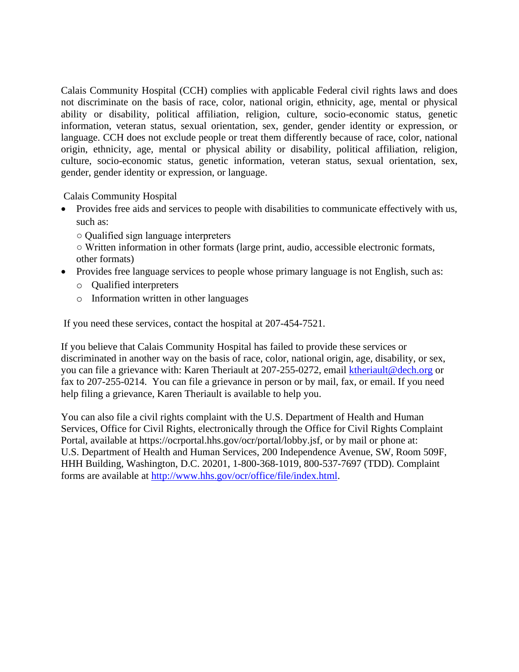Calais Community Hospital (CCH) complies with applicable Federal civil rights laws and does not discriminate on the basis of race, color, national origin, ethnicity, age, mental or physical ability or disability, political affiliation, religion, culture, socio-economic status, genetic information, veteran status, sexual orientation, sex, gender, gender identity or expression, or language. CCH does not exclude people or treat them differently because of race, color, national origin, ethnicity, age, mental or physical ability or disability, political affiliation, religion, culture, socio-economic status, genetic information, veteran status, sexual orientation, sex, gender, gender identity or expression, or language.

Calais Community Hospital

- Provides free aids and services to people with disabilities to communicate effectively with us, such as:
	- Qualified sign language interpreters

○ Written information in other formats (large print, audio, accessible electronic formats, other formats)

- Provides free language services to people whose primary language is not English, such as:
	- o Qualified interpreters
	- o Information written in other languages

If you need these services, contact the hospital at 207-454-7521.

If you believe that Calais Community Hospital has failed to provide these services or discriminated in another way on the basis of race, color, national origin, age, disability, or sex, you can file a grievance with: Karen Theriault at 207-255-0272, email [ktheriault@dech.org](mailto:ktheriault@dech.org) or fax to 207-255-0214. You can file a grievance in person or by mail, fax, or email. If you need help filing a grievance, Karen Theriault is available to help you.

You can also file a civil rights complaint with the U.S. Department of Health and Human Services, Office for Civil Rights, electronically through the Office for Civil Rights Complaint Portal, available at https://ocrportal.hhs.gov/ocr/portal/lobby.jsf, or by mail or phone at: U.S. Department of Health and Human Services, 200 Independence Avenue, SW, Room 509F, HHH Building, Washington, D.C. 20201, 1-800-368-1019, 800-537-7697 (TDD). Complaint forms are available at [http://www.hhs.gov/ocr/office/file/index.html.](http://www.hhs.gov/ocr/office/file/index.html)